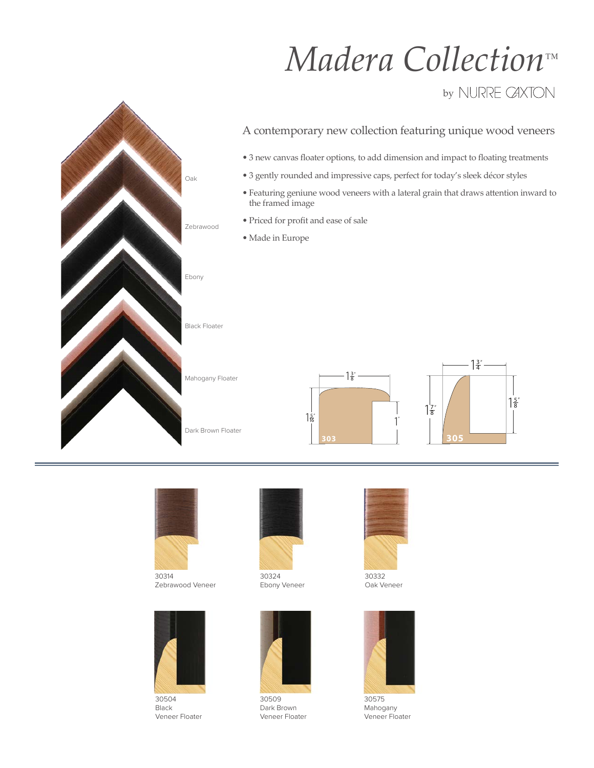## *Madera Collection™*

## by NURRE CAXTON





30314 Zebrawood Veneer



30504 Black Veneer Floater



30324 Ebony Veneer



30509 Dark Brown Veneer Floater



30332 Oak Veneer



30575 Mahogany Veneer Floater